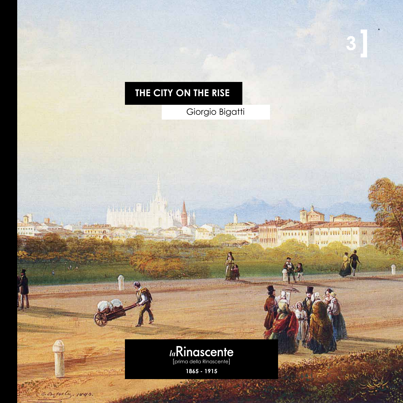## **3**

AFTER FAX 12 12 000 0000

1 420.

**The William** 

VERY PT

## **the city on the rise**

Secret IL

Betsety, 1840.

Giorgio Bigatti



**1865 - 1915**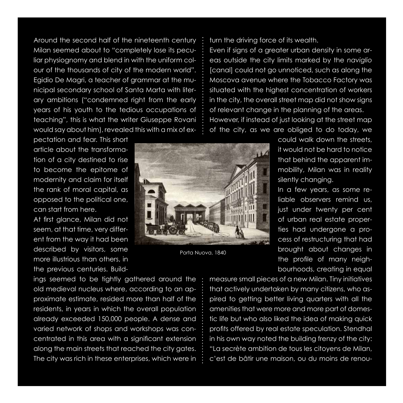Around the second half of the nineteenth century Milan seemed about to "completely lose its peculiar physiognomy and blend in with the uniform colour of the thousands of city of the modern world". Egidio De Magri, a teacher of grammar at the municipal secondary school of Santa Marta with literary ambitions ("condemned right from the early years of his youth to the tedious occupations of teaching", this is what the writer Giuseppe Rovani would say about him), revealed this with a mix of ex-

pectation and fear. This short article about the transformation of a city destined to rise to become the epitome of modernity and claim for itself the rank of moral capital, as opposed to the political one, can start from here.

At first glance, Milan did not seem, at that time, very different from the way it had been described by visitors, some more illustrious than others, in the previous centuries. Build-

ings seemed to be tightly gathered around the old medieval nucleus where, according to an approximate estimate, resided more than half of the residents, in years in which the overall population already exceeded 150,000 people. A dense and varied network of shops and workshops was concentrated in this area with a significant extension along the main streets that reached the city gates. The city was rich in these enterprises, which were in

turn the driving force of its wealth.

Even if signs of a greater urban density in some areas outside the city limits marked by the *naviglio* [canal] could not go unnoticed, such as along the Moscova avenue where the Tobacco Factory was situated with the highest concentration of workers in the city, the overall street map did not show signs of relevant change in the planning of the areas. However, if instead of just looking at the street map of the city, as we are obliged to do today, we

Porta Nuova, 1840

could walk down the streets, it would not be hard to notice that behind the apparent immobility, Milan was in reality silently changing.

In a few years, as some reliable observers remind us, just under twenty per cent of urban real estate properties had undergone a process of restructuring that had brought about changes in the profile of many neighbourhoods, creating in equal

measure small pieces of a new Milan. Tiny initiatives that actively undertaken by many citizens, who aspired to getting better living quarters with all the amenities that were more and more part of domestic life but who also liked the idea of making quick profits offered by real estate speculation. Stendhal in his own way noted the building frenzy of the city: "La secrète ambition de tous les citoyens de Milan, c'est de bâtir une maison, ou du moins de renou-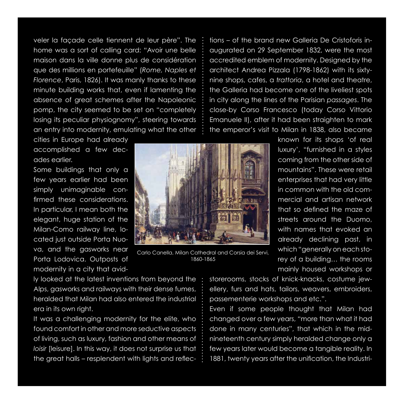veler la façade celle tiennent de leur père". The home was a sort of calling card: "Avoir une belle maison dans la ville donne plus de considération que des millions en portefeuille" (*Rome, Naples et Florence*, Paris, 1826). It was manly thanks to these minute building works that, even if lamenting the absence of great schemes after the Napoleonic pomp, the city seemed to be set on "completely losing its peculiar physiognomy", steering towards an entry into modernity, emulating what the other

cities in Europe had already accomplished a few decades earlier.

Some buildings that only a few years earlier had been simply unimaginable confirmed these considerations. In particular, I mean both the elegant, huge station of the Milan-Como railway line, located just outside Porta Nuova, and the gasworks near Porta Lodovica. Outposts of modernity in a city that avid-



Carlo Canella, Milan Cathedral and Corsia dei Servi, 1860-1865

tions – of the brand new Galleria De Cristoforis inaugurated on 29 September 1832, were the most accredited emblem of modernity. Designed by the architect Andrea Pizzala (1798-1862) with its sixtynine shops, cafes, a *trattoria*, a hotel and theatre, the Galleria had become one of the liveliest spots in city along the lines of the Parisian *passages*. The close-by Corso Francesco (today Corso Vittorio Emanuele II), after it had been straighten to mark the emperor's visit to Milan in 1838, also became

> known for its shops 'of real luxury', "furnished in a styles coming from the other side of mountains". These were retail enterprises that had very little in common with the old commercial and artisan network that so defined the maze of streets around the Duomo, with names that evoked an already declining past, in which "generally on each storey of a building… the rooms mainly housed workshops or

ly looked at the latest inventions from beyond the Alps, gasworks and railways with their dense fumes, heralded that Milan had also entered the industrial era in its own right.

It was a challenging modernity for the elite, who found comfort in other and more seductive aspects of living, such as luxury, fashion and other means of *loisir* [leisure]. In this way, it does not surprise us that the great halls – resplendent with lights and reflecstorerooms, stocks of knick-knacks, costume jewellery, furs and hats, tailors, weavers, embroiders, passementerie workshops and etc.".

Even if some people thought that Milan had changed over a few years, "more than what it had done in many centuries", that which in the midnineteenth century simply heralded change only a few years later would become a tangible reality. In 1881, twenty years after the unification, the Industri-